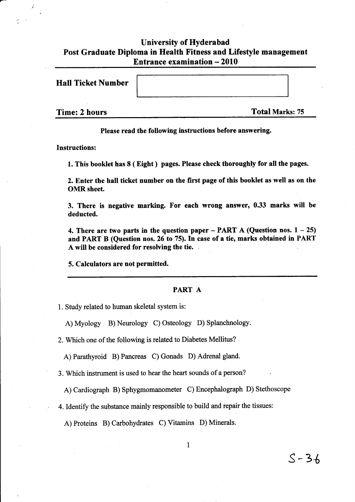## University of Hyderabad Post Graduate Diploma in Health Fitness and Lifestyle management Entrance examination - 2010

Hall Ticket Number

Time: 2 hours Total Marks: 75

 $S-36$ 

Please read the following instructions before answering.

Instructions:

1. This booklet has 8 ( Eight ) pages. Please check thoroughly for all the pages.

2. Enter the hall ticket number on the first page of this booklet as well as on the OMR sheet.

3. There is negative marking. For each wrong answer, 0.33 marks wilt be deducted.

4. There are two parts in the question paper – PART A (Question nos.  $1 - 25$ ) and PART B (Question nos. 26 to 75). In case of a tie, marks obtained in PART A will be considered for resolving the tie.

5. Calculators are not permitted.

## PART A

l. Study related to human skeletal system is:

A) Myology B) Neurology C) Osteology D) Splanchnology.

2. Which one of the following is related to Diabetes Mellitus?

A) Parathyroid B) Pancreas C) Gonads D) Adrenal gland.

3. Which instrument is used to hear the heart sounds of a person?

A) Cardiograph B) Sphygmomanometer C) Encephalograph D) Stethoscope

4. Identify the substance mainly responsible to build and repair the tissues:

A) Proteins B) Carbohydrates C) Vitamins D) Minerals.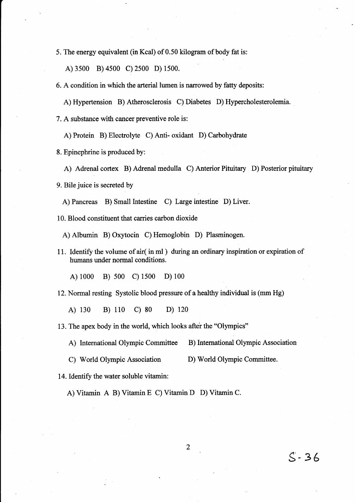5. The energy equivalent (in Kcal) of 0.50 kilogram of body fat is:

A) 3s00 B) 4s00 c) 2s00 D) 1500.

6. A condition in which the arterial lumen is narowed by fatty deposits:

A) Hypertension B) Atherosclerosis C) Diabetes D) Hypercholesterolemia.

7. A substance with cancer preventive role is:

A) Protein B) Electrolyte C) Anti- oxidant D) Carbohydrate

8. Epinephrine is produced by:

A) Adrenal cortex B) Adrenal medulla C) Anterior Pituitary D) Posterior pituitary

9. Bile juice is secreted by

A) Pancreas B) Small Intestine C) Large intestine D) Liver.

10. Blood constituent that carries carbon dioxide

A) Albumin B) Oxytocin C) Hernoglobin D) Plasminogen.

11. Identify the volume of air( in ml ) during an ordinary inspiration or expiration of humans under normal conditions.

A) 1000 B) 500 C) 1500 D) 100

12. Normal resting Systolic blood pressure of a healthy individual is (mm Hg)

A) 130 B) 110 C) 80 D) <sup>120</sup>

13. The apex body in the world, which looks after the "Olympics"

A) International Olympic Committee B) International Olympic Association

C) World Olympic Association D) World Olympic Committee.

14. Identify the water soluble vitamin:

A) Vitamin A B) Vitamin E C) Vitamin D D) Vitamin C.

 $S - 36$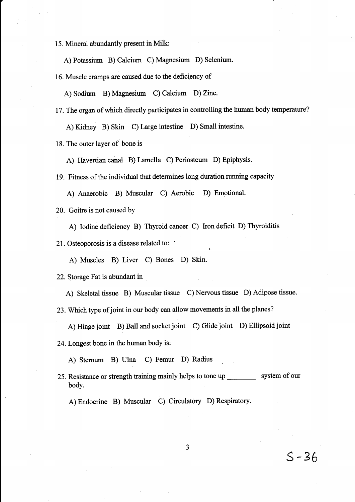15. Mineral abundantly present in Milk:

A) Potassium B) Calcium C) Magnesium D) Selenium.

16. Muscle cramps are caused due to the deficiency of

A) Sodium B) Magnesium C) Calcium D) Zinc.

17. The organ of which directly participates in controlling the human body temperature? A) Kidney B) Skin C) Large intestine D) Small intestine.

18. The outer layer of bone is

A) Havertian canal B) Lamella C) Periosteum D) Epiphysis.

19. Fitness of the individual that determines long duration running capacity

A) Anaerobic B) Muscular C) Aerobic D) Emotional.

20. Goitre is not caused by

A) Iodine deficiency B) Thyroid cancer C) Iron deficit D) Thyroiditis

21. Osteoporosis is a disease related to:

A) Muscles B) Liver C) Bones D) Skin.

22. Storage Fat is abundant in

A) Skeletal tissue B) Muscular tissue C) Nervous tissue D) Adipose tissue.

23. Which type of joint in our body can allow movements in all the planes?

A) Hinge joint B) Ball and socket joint C) Glide joint D) Ellipsoid joint

24. Longest bone in the human body is:

A) Stemum B) Ulna C) Femur D) Radius

25. Resistance or strength training mainly helps to tone up system of our body.

A) Endocrine B) Muscular C) Circulatory D) Respiratory.

s-36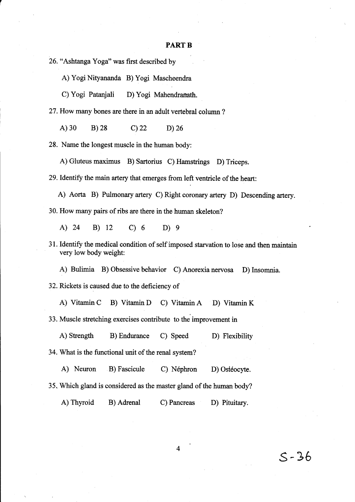## PART B

26. "Ashtanga Yoga" was first described by

A) Yogi Nityananda B) Yogi Mascheendra

C) Yogi Patanjali D) Yogi Mahendranath.

27.How many bones are there in an adult vertebral column ?

A) 30 B) 28 C) 22 D) 26

28. Name the longest muscle in the human body:

A) Gluteus maximus B) Sartorius C) Hamstrings D) Triceps.

29. Identify the main artery that emerges from left ventricle of the heart:

A) Aorta B) Pulmonary artery c) Right coronary artery D) Descending artery. 30. How many pairs of ribs are there in the human skeleton?

A) 24 B) 12 C) 6 D) 9

31. Identify the medical condition of self imposed starvation to lose and then maintain very low body weight:

A) Bulimia B) Obsessive behavior C) Anorexia nervosa D) Insomnia.

32. Rickets is caused due to the deficiency of

A) Vitamin C B) Vitamin D C) Vitamin A D) Vitamin K

33. Muscle stretching exercises contribute to the improvement in

A) Strength B) Endurance C) Speed D) Flexibility

34. What is the functional unit of the renal system?

A) Neuron B) Fascicule C) Néphron D) Ostéocyte.

35, Which gland is considered as the master gland of the human body?

A) Thyroid B) Adrenal C) Pancreas D) Pituitary.

 $\overline{\mathbf{4}}$ 

s-36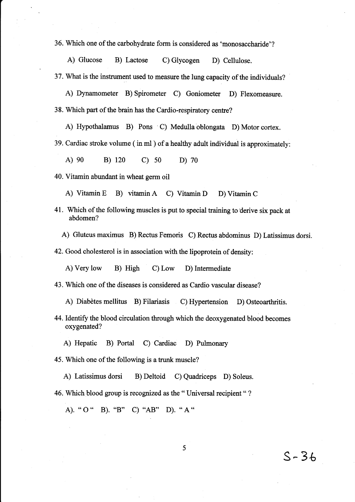36. Which one of the carbohydrate form is considered as 'monosaccharide'?

A) Glucose B) Lactose C) Glycogen D) Cellulose.

37. What is the instrument used to measure the lung capacity of the individuals?

A) Dynamometer B) Spirometer C) Goniometer D) Flexomeasure. 38. Which part of the brain has the Cardio-respiratory centre?

A) Hypothalamus B) Pons C) Medulla oblongata D) Motor cortex.

39. Cardiac stroke volume ( in ml ) of a healthy adult individual is approximately:

A) 90 B) 120 C) s0 D) <sup>70</sup>

40. Vitamin abundant in wheat germ oil

A) Vitamin E B) vitamin A C) Vitarnin D D) Vitamin <sup>C</sup>

41. Which of the following muscles is put to special training to derive six pack at abdomen?

A) Gluteus marimus B) Rectus Femoris C) Rectus abdominus D) Latissimus dorsi.

42. Good cholesterol is in association with the lipoprotein of density:

A) Very low B) High C) Low D) Intermediate

43. Which one of the diseases is considered as Cardio vascular disease?

A) Diabètes mellitus B) Filariasis C) Hypertension D) Osteoarthritis.

44. Identify the blood circulation through which the deoxygenated blood becomes oxygenated?

5

s- 36

A) Hepatic B) Portal C) Cardiac D) Pulmonary

45. Which one of the following is a trunk muscle?

A) Latissimus dorsi B) Deltoid C) Quadriceps D) Soleus.

46. Which blood group is recognized as the "Universal recipient "?

A). " O " B). "8" C) "AB" D). \* A "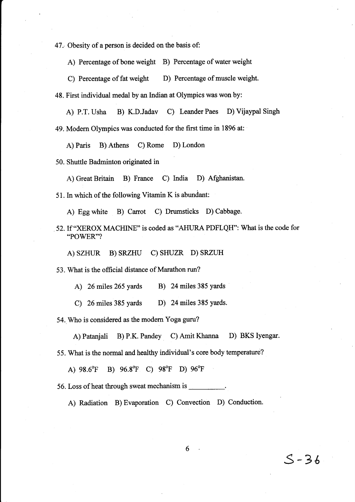47.- Obesity of a person is decided on the basis of:

A) Percentage of bone weight B) Percentage of water weight

C) Percentage of fat weight D) Percentage of muscle weight.

48. First individual medal by an lndian at Olympics was won by:

A) P.T. Usha B) K.D.Jadav C) Leander Paes D) Vijaypal Singh

49. Modern Olympics was conducted for the first time in 1896 at:

A) Paris B) Athens C) Rome D) London

50. Shuttle Badminton originated in

A) Great Britain B) France C) India D) Afghanistan.

51. In which of the following Vitamin K is abundant:

A) Egg white B) Carrot C) Drumsticks D) Cabbage.

52. If "XEROX MACHINE" is coded as "AHURA PDFLQH": What is the code for "POWER"?

A) SZHUR B) SRZHU C) SHUZR D) SRZUH

53. What is the official distance of Marathon run?

A) 26 miles 265 yards B) 24 miles 385 yards

C) 26 miles 385 yards D) 24 miles 385 yards.

54. Who is considered as the modem Yoga guru?

A) Patanjali B) P.K. Pandey C) Amit Khanna D) BKS Iyengar.

55. What is the normal and healthy individual's core body temperature?

A)  $98.6^{\circ}$ F B)  $96.8^{\circ}$ F C)  $98^{\circ}$ F D)  $96^{\circ}$ F

56. Loss of heat through sweat mechanism is

A) Radiation B) Evaporation C) Convection D) Conduction.

6

 $S - 36$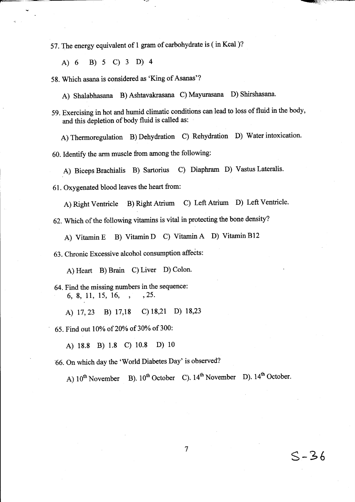57. The energy equivalent of I gram of carbohydrate is ( in Kcal )?

A) 6 B) 5 C) 3 D) 4

58. Which asana is considered as 'King of Asanas'?

A) Shalabhasana B) Ashtavakrasana C) Mayurasana D) Shirshasana.

59. Exercising in hot and humid climatic conditions can lead to loss of fluid in the body, and this depletion of body fluid is called as:

A) Thermoregulation B) Dehydration C) Rehydration D) Water intoxication.

60. Identify the arm muscle from among the following:

A) Biceps Brachialis B) Sartorius C) Diaphram D) Vastus Lateralis.

61. Oxygenated blood leaves the heart from:

A) Right ventricle B) Right Atrium c) Left Atium D) Left Ventricle.

62. Which of the following vitamins is vital in protecting the bone density?

A) Vitamin E B) vitamin D c) vitamin A D) vitamin B12

63. Chronic Excessive alcohol consumption affects:

A) Heart B) Brain C) Liver D) Colon.

64. Find the missing numbers in the sequence: 6,8,.11, 15, 16, , ,25.

A) 17,23 B) 17,18 C) 18,21 D) 18,23

65. Find out 10% of 20% of 30% of 300:

A) ls.8 B) 1.8 c) 10.s D) lo

66. On which day the 'World Diabetes Day' is observed?

A)  $10^{th}$  November B).  $10^{th}$  October C).  $14^{th}$  November D).  $14^{th}$  October.

7